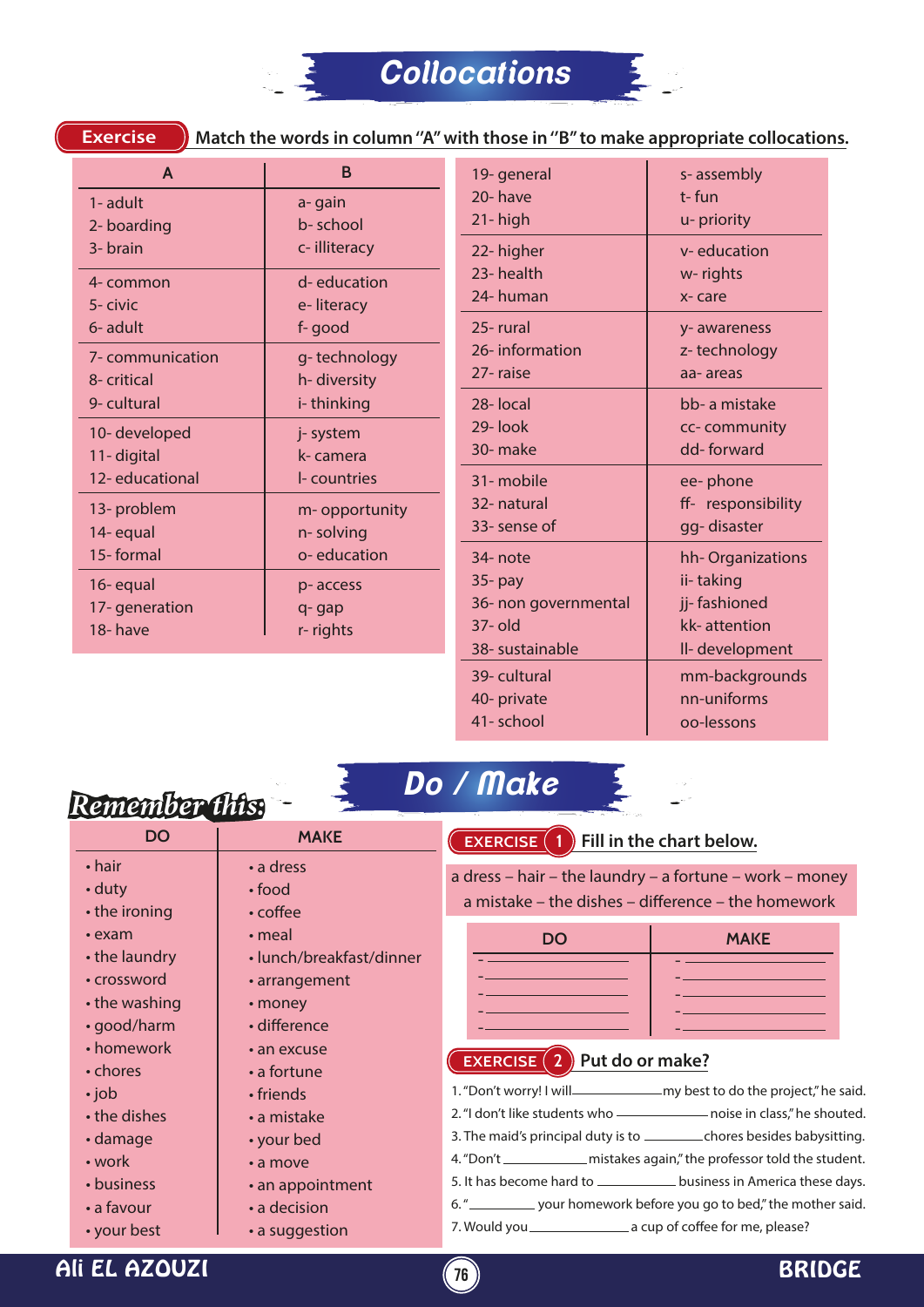

**Exercise**

**Match the words in column ''A'' with those in ''B'' to make appropriate collocations.**

| $\mathsf{A}$     | B                          | 19- general          | s-assembly         |
|------------------|----------------------------|----------------------|--------------------|
| 1- adult         | a-gain                     | 20-have              | t-fun              |
| 2- boarding      | b-school                   | 21-high              | u- priority        |
| 3- brain         | c-illiteracy               | 22- higher           | v-education        |
| 4- common        | d-education                | 23-health            | w-rights           |
| 5- civic         | e-literacy                 | 24-human             | x-care             |
| 6- adult         | f-good                     | 25-rural             | y-awareness        |
| 7- communication | g-technology               | 26-information       | z-technology       |
| 8- critical      | h-diversity                | 27-raise             | aa-areas           |
| 9- cultural      | i-thinking                 | 28-local             | bb- a mistake      |
| 10-developed     | j- system                  | 29-look              | cc-community       |
| 11-digital       | k-camera                   | 30- make             | dd-forward         |
| 12-educational   | I- countries               | 31-mobile            | ee-phone           |
| 13- problem      | m-opportunity<br>n-solving | 32- natural          | ff- responsibility |
| 14-equal         |                            | 33- sense of         | gg-disaster        |
| 15-formal        | o-education                | 34- note             | hh-Organizations   |
| 16-equal         | p-access                   | $35-$ pay            | ii-taking          |
| 17-generation    | q-gap                      | 36- non governmental | jj-fashioned       |
| 18-have          | r-rights                   | 37- old              | kk-attention       |
|                  |                            | 38- sustainable      | II-development     |
|                  |                            | 39-cultural          | mm-backgrounds     |
|                  |                            | 40- private          | nn-uniforms        |
|                  |                            | 41-school            | oo-lessons         |

## *Remember this:*

*Do / Make*



| <b>DO</b>                                                                          | <b>MAKE</b>                                                                                      | Fill in the chart below.<br><b>EXERCISE</b>                                                                                                                                                                                                                                                                                                                               |  |
|------------------------------------------------------------------------------------|--------------------------------------------------------------------------------------------------|---------------------------------------------------------------------------------------------------------------------------------------------------------------------------------------------------------------------------------------------------------------------------------------------------------------------------------------------------------------------------|--|
| $\cdot$ hair<br>· duty<br>• the ironing                                            | • a dress<br>$\cdot$ food<br>$\cdot$ coffee                                                      | a dress – hair – the laundry – a fortune – work – money<br>a mistake – the dishes – difference – the homework                                                                                                                                                                                                                                                             |  |
| $\cdot$ exam<br>• the laundry<br>• crossword<br>$\cdot$ the washing<br>• good/harm | $\cdot$ meal<br>· lunch/breakfast/dinner<br>• arrangement<br>$\cdot$ money<br>$\cdot$ difference | <b>DO</b><br><b>MAKE</b><br>the property of the control of the control of the control of the control of                                                                                                                                                                                                                                                                   |  |
| • homework<br>• chores<br>$\cdot$ job<br>• the dishes                              | $\cdot$ an excuse<br>$\cdot$ a fortune<br>$\cdot$ friends<br>$\cdot$ a mistake                   | $(2)$ Put do or make?<br><b>EXERCISE</b><br>2. "I don't like students who - noise in class," he shouted.                                                                                                                                                                                                                                                                  |  |
| $\cdot$ damage<br>• work<br>• business<br>$\cdot$ a favour<br>• your best          | • your bed<br>• a move<br>• an appointment<br>• a decision<br>• a suggestion                     | 3. The maid's principal duty is to ____________ chores besides babysitting.<br>4. "Don't _______________ mistakes again," the professor told the student.<br>5. It has become hard to _____________ business in America these days.<br>6. " sour homework before you go to bed," the mother said.<br>7. Would you _______________________ a cup of coffee for me, please? |  |

Ali EL AZOUZI **76** BRIDGE